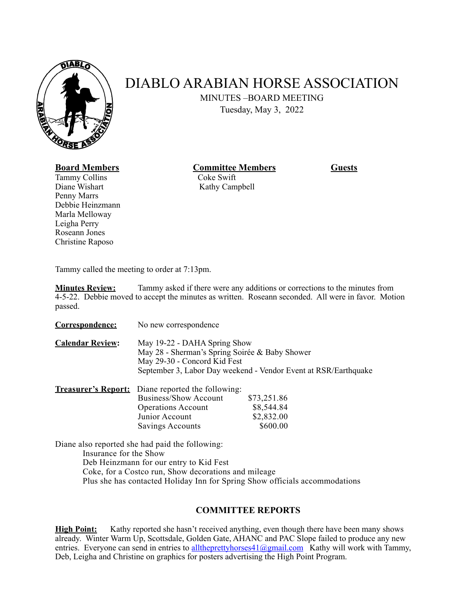

# DIABLO ARABIAN HORSE ASSOCIATION

MINUTES –BOARD MEETING

Tuesday, May 3, 2022

## **Board Members Committee Members Guests**

Tammy Collins Coke Swift Diane Wishart Kathy Campbell Penny Marrs Debbie Heinzmann Marla Melloway Leigha Perry Roseann Jones Christine Raposo

Tammy called the meeting to order at 7:13pm.

**Minutes Review:** Tammy asked if there were any additions or corrections to the minutes from 4-5-22. Debbie moved to accept the minutes as written. Roseann seconded. All were in favor. Motion passed.

**Correspondence:** No new correspondence

**Calendar Review:** May 19-22 - DAHA Spring Show May 28 - Sherman's Spring Soirée & Baby Shower May 29-30 - Concord Kid Fest September 3, Labor Day weekend - Vendor Event at RSR/Earthquake

| <b>Treasurer's Report:</b> Diane reported the following: |             |  |
|----------------------------------------------------------|-------------|--|
| <b>Business/Show Account</b>                             | \$73,251.86 |  |
| <b>Operations Account</b>                                | \$8,544.84  |  |
| Junior Account                                           | \$2,832.00  |  |
| Savings Accounts                                         | \$600.00    |  |

Diane also reported she had paid the following: Insurance for the Show Deb Heinzmann for our entry to Kid Fest Coke, for a Costco run, Show decorations and mileage Plus she has contacted Holiday Inn for Spring Show officials accommodations

### **COMMITTEE REPORTS**

**High Point:** Kathy reported she hasn't received anything, even though there have been many shows already. Winter Warm Up, Scottsdale, Golden Gate, AHANC and PAC Slope failed to produce any new entries. Everyone can send in entries to [alltheprettyhorses41@gmail.com](mailto:alltheprettyhorses41@gmail.com) Kathy will work with Tammy, Deb, Leigha and Christine on graphics for posters advertising the High Point Program.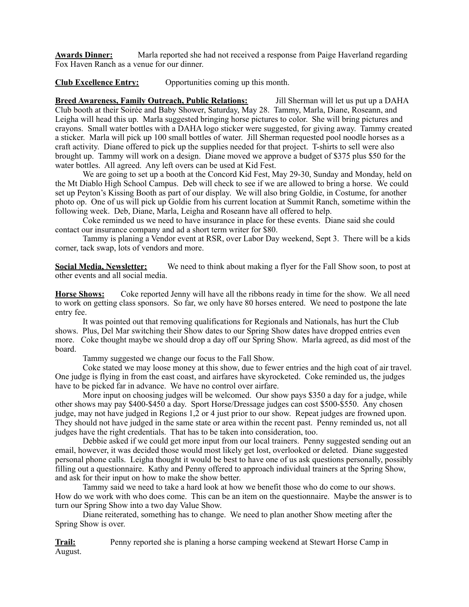**Awards Dinner:** Marla reported she had not received a response from Paige Haverland regarding Fox Haven Ranch as a venue for our dinner.

**Club Excellence Entry:** Opportunities coming up this month.

**Breed Awareness, Family Outreach, Public Relations:** Jill Sherman will let us put up a DAHA Club booth at their Soirée and Baby Shower, Saturday, May 28. Tammy, Marla, Diane, Roseann, and Leigha will head this up. Marla suggested bringing horse pictures to color. She will bring pictures and crayons. Small water bottles with a DAHA logo sticker were suggested, for giving away. Tammy created a sticker. Marla will pick up 100 small bottles of water. Jill Sherman requested pool noodle horses as a craft activity. Diane offered to pick up the supplies needed for that project. T-shirts to sell were also brought up. Tammy will work on a design. Diane moved we approve a budget of \$375 plus \$50 for the water bottles. All agreed. Any left overs can be used at Kid Fest.

We are going to set up a booth at the Concord Kid Fest, May 29-30, Sunday and Monday, held on the Mt Diablo High School Campus. Deb will check to see if we are allowed to bring a horse. We could set up Peyton's Kissing Booth as part of our display. We will also bring Goldie, in Costume, for another photo op. One of us will pick up Goldie from his current location at Summit Ranch, sometime within the following week. Deb, Diane, Marla, Leigha and Roseann have all offered to help.

Coke reminded us we need to have insurance in place for these events. Diane said she could contact our insurance company and ad a short term writer for \$80.

Tammy is planing a Vendor event at RSR, over Labor Day weekend, Sept 3. There will be a kids corner, tack swap, lots of vendors and more.

**Social Media, Newsletter:** We need to think about making a flyer for the Fall Show soon, to post at other events and all social media.

**Horse Shows:** Coke reported Jenny will have all the ribbons ready in time for the show. We all need to work on getting class sponsors. So far, we only have 80 horses entered. We need to postpone the late entry fee.

It was pointed out that removing qualifications for Regionals and Nationals, has hurt the Club shows. Plus, Del Mar switching their Show dates to our Spring Show dates have dropped entries even more. Coke thought maybe we should drop a day off our Spring Show. Marla agreed, as did most of the board.

Tammy suggested we change our focus to the Fall Show.

Coke stated we may loose money at this show, due to fewer entries and the high coat of air travel. One judge is flying in from the east coast, and airfares have skyrocketed. Coke reminded us, the judges have to be picked far in advance. We have no control over airfare.

More input on choosing judges will be welcomed. Our show pays \$350 a day for a judge, while other shows may pay \$400-\$450 a day. Sport Horse/Dressage judges can cost \$500-\$550. Any chosen judge, may not have judged in Regions 1,2 or 4 just prior to our show. Repeat judges are frowned upon. They should not have judged in the same state or area within the recent past. Penny reminded us, not all judges have the right credentials. That has to be taken into consideration, too.

Debbie asked if we could get more input from our local trainers. Penny suggested sending out an email, however, it was decided those would most likely get lost, overlooked or deleted. Diane suggested personal phone calls. Leigha thought it would be best to have one of us ask questions personally, possibly filling out a questionnaire. Kathy and Penny offered to approach individual trainers at the Spring Show, and ask for their input on how to make the show better.

Tammy said we need to take a hard look at how we benefit those who do come to our shows. How do we work with who does come. This can be an item on the questionnaire. Maybe the answer is to turn our Spring Show into a two day Value Show.

Diane reiterated, something has to change. We need to plan another Show meeting after the Spring Show is over.

**Trail:** Penny reported she is planing a horse camping weekend at Stewart Horse Camp in August.